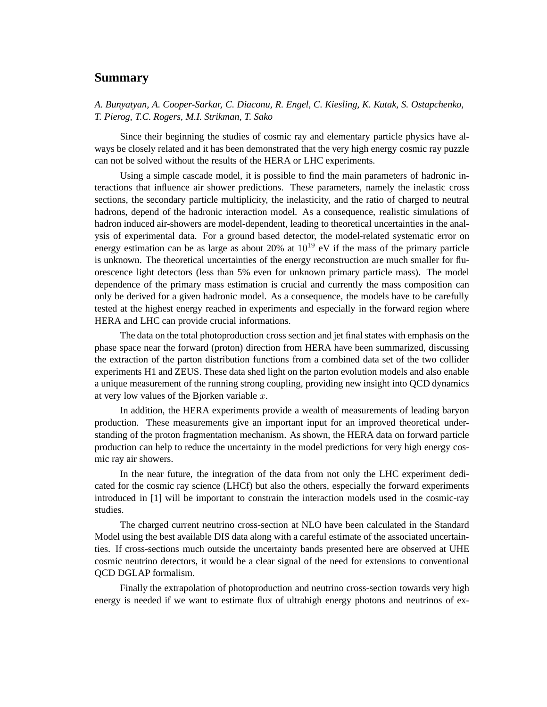## **Summary**

*A. Bunyatyan, A. Cooper-Sarkar, C. Diaconu, R. Engel, C. Kiesling, K. Kutak, S. Ostapchenko, T. Pierog, T.C. Rogers, M.I. Strikman, T. Sako*

Since their beginning the studies of cosmic ray and elementary particle physics have always be closely related and it has been demonstrated that the very high energy cosmic ray puzzle can not be solved without the results of the HERA or LHC experiments.

Using a simple cascade model, it is possible to find the main parameters of hadronic interactions that influence air shower predictions. These parameters, namely the inelastic cross sections, the secondary particle multiplicity, the inelasticity, and the ratio of charged to neutral hadrons, depend of the hadronic interaction model. As a consequence, realistic simulations of hadron induced air-showers are model-dependent, leading to theoretical uncertainties in the analysis of experimental data. For a ground based detector, the model-related systematic error on energy estimation can be as large as about 20% at  $10^{19}$  eV if the mass of the primary particle is unknown. The theoretical uncertainties of the energy reconstruction are much smaller for fluorescence light detectors (less than 5% even for unknown primary particle mass). The model dependence of the primary mass estimation is crucial and currently the mass composition can only be derived for a given hadronic model. As a consequence, the models have to be carefully tested at the highest energy reached in experiments and especially in the forward region where HERA and LHC can provide crucial informations.

The data on the total photoproduction cross section and jet final states with emphasis on the phase space near the forward (proton) direction from HERA have been summarized, discussing the extraction of the parton distribution functions from a combined data set of the two collider experiments H1 and ZEUS. These data shed light on the parton evolution models and also enable a unique measurement of the running strong coupling, providing new insight into QCD dynamics at very low values of the Bjorken variable  $x$ .

In addition, the HERA experiments provide a wealth of measurements of leading baryon production. These measurements give an important input for an improved theoretical understanding of the proton fragmentation mechanism. As shown, the HERA data on forward particle production can help to reduce the uncertainty in the model predictions for very high energy cosmic ray air showers.

In the near future, the integration of the data from not only the LHC experiment dedicated for the cosmic ray science (LHCf) but also the others, especially the forward experiments introduced in [1] will be important to constrain the interaction models used in the cosmic-ray studies.

The charged current neutrino cross-section at NLO have been calculated in the Standard Model using the best available DIS data along with a careful estimate of the associated uncertainties. If cross-sections much outside the uncertainty bands presented here are observed at UHE cosmic neutrino detectors, it would be a clear signal of the need for extensions to conventional QCD DGLAP formalism.

Finally the extrapolation of photoproduction and neutrino cross-section towards very high energy is needed if we want to estimate flux of ultrahigh energy photons and neutrinos of ex-